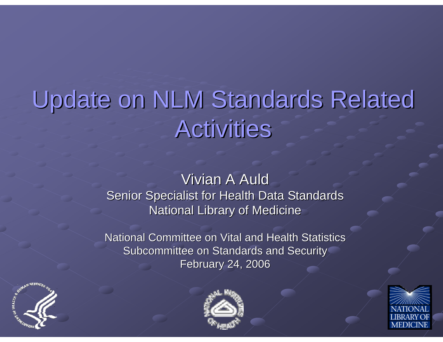# Update on NLM Standards Related **Activities**

Vivian A Auld Senior Specialist for Health Data Standards National Library of Medicine

National Committee on Vital and Health Statistics Subcommittee on Standards and Security **February 24, 2006** 





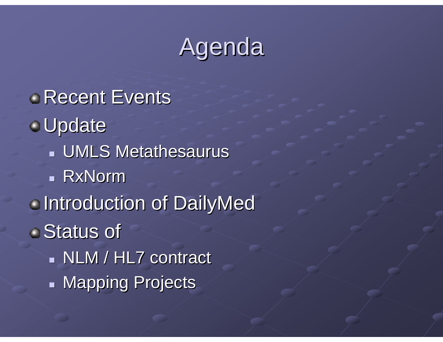### **Agenda**

**Recent Events** Update **UMLS Metathesaurus**  RxNorm **Introduction of DailyMed** ■ Status of **NLM / HL7 contract**  $\overline{\phantom{0}}$ **- Mapping Projects**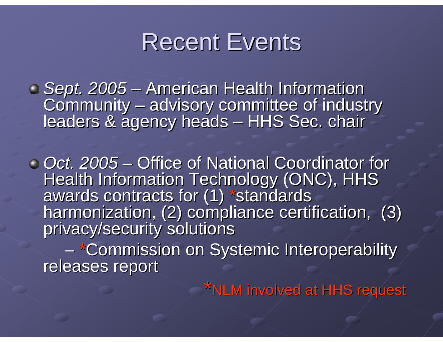

*Sept. 2005 Sept. 2005* - American Health Information Community Community – advisory committee of industry<br>leaders & agency heads – HHS Sec. chair – –– HHS Sec. chair

*Oct. 2005 Oct. 2005*– Office of National Coordinator for Health Information Technology (ONC), HHS awards contracts for (1) \*standards harmonization, (2) compliance certification, (3) privacy/security solutions

–– \*Commission on Systemic Interoperability<br>releases report

\*NLM involved at HHS request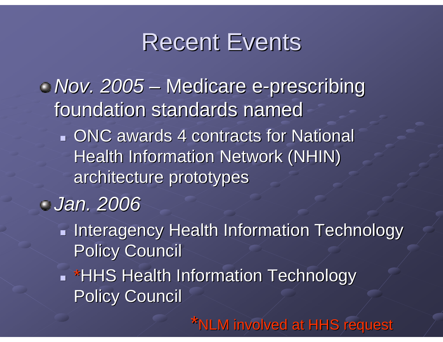### **Recent Events**

*Nov. 2005 Nov. 2005* **However the Common** – Medicare e-prescribing foundation standards named

**ONC awards 4 contracts for National** Health Information Network (NHIN) architecture prototypes architecture prototypes

### *Jan. 2006 Jan. 2006*

- $\mathbf{r}$ **Interagency Health Information Technology Policy Council**
- **Fighth S Health Information Technology Policy Council**

\*NLM involved at HHS request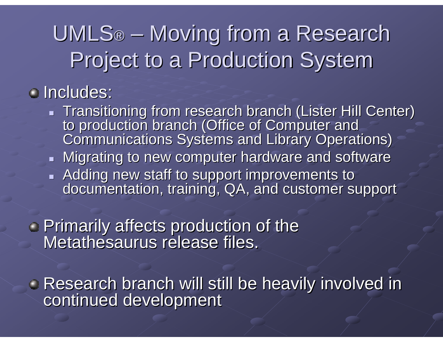### UMLS® – Moving from a Research Project to a Production System

### Includes: Includes:

**Transitioning from research branch (Lister Hill Center)** to production branch (Office of Computer and<br>Communications Systems and Library Operations)

#### $\blacksquare$  Migrating to new computer hardware and software

- Adding new staff to support improvements to documentation, training, QA, and customer support

**Primarily affects production of the Primarily affects production of the Metathesaurus release files.** 

**Research branch will still be heavily involved in continued development**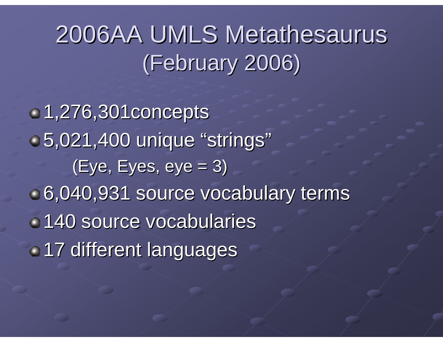## 2006AA UMLS Metathesaurus (February 2006) (February 2006)

1,276,301concepts 1,276,301concepts 5,021,400 unique "strings"  $(Eye, Eyes, eye = 3)$ 6,040,931 source vocabulary terms 6,040,931 source vocabulary terms 140 source vocabularies 140 source vocabularies 17 different languages 17 different languages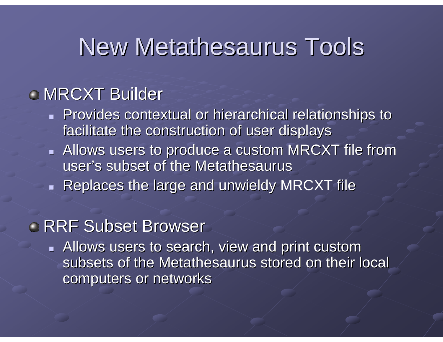### New Metathesaurus Tools

### **MRCXT Builder**

- Provides contextual or hierarchical relationships to facilitate the construction of user displays
- $\blacksquare$  Allows users to produce a custom MRCXT file from user's subset of the Metathesaurus
- $\blacksquare$  Replaces the large and unwieldy MRCXT file

### **RRF Subset Browser**

Allows users to search, view and print custom subsets of the Metathesaurus stored on their local computers or networks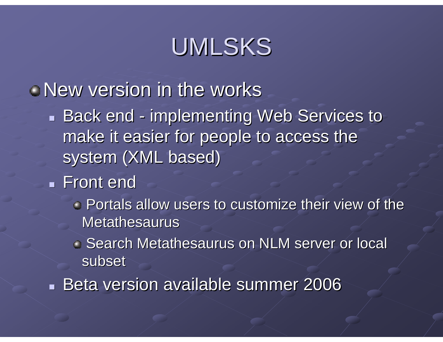### UMLSKS

### New version in the works

 $\mathbf{r}$ Back end - implementing Web Services to make it easier for people to access the system (XML based)

- **Front end** 
	- **Portals allow users to customize their view of the** Metathesaurus
	- **Search Metathesaurus on NLM server or local Search Metathesaurus on NLM server or local** subset
- Beta version available summer 2006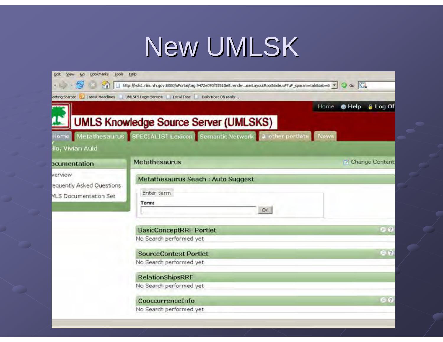# New UMLSK

| Bookmarks Tools Help<br>Go.<br>Edit |                                                                                                                  |                    |                   |
|-------------------------------------|------------------------------------------------------------------------------------------------------------------|--------------------|-------------------|
| $\cdot$ $\rightarrow$ $\sim$        | http://listic1.nlm.nih.gov:6080/uPortal/tag.9472e090f57810e8.render.userLayoutRootNode.uP?uP_sparam=tab8tab=6/ * | $\circ$ Go $\circ$ |                   |
|                                     | etting Started by Latest Headlines   UMLSKS Login Service   Local Tree   Daily Kos; Oh really                    |                    |                   |
|                                     | Home                                                                                                             | $\bullet$ Help     | <b>a</b> Log Of   |
|                                     | <b>UMLS Knowledge Source Server (UMLSKS)</b>                                                                     |                    |                   |
|                                     | Home Metathesaurus SPECIALIST Lexicon Semantic Network a other portlets News                                     |                    |                   |
| Ilo, Vivian Auld                    |                                                                                                                  |                    |                   |
| ocumentation                        | <b>Metathesaurus</b>                                                                                             |                    | Change Content    |
| verview                             | Metathesaurus Seach : Auto Suggest                                                                               |                    |                   |
| equently Asked Questions            | Enter term                                                                                                       |                    |                   |
| <b>MLS Documentation Set</b>        | Term:                                                                                                            |                    |                   |
|                                     | OK.                                                                                                              |                    |                   |
|                                     | <b>BasicConceptRRF Portlet</b>                                                                                   |                    | 90                |
|                                     | No Search performed yet                                                                                          |                    |                   |
|                                     | <b>SourceContext Portlet</b>                                                                                     |                    | $\Theta$ $\Omega$ |
|                                     | No Search performed yet                                                                                          |                    |                   |
|                                     | <b>RelationShipsRRF</b>                                                                                          |                    |                   |
|                                     | No Search performed yet                                                                                          |                    |                   |
|                                     | CooccurrenceInfo                                                                                                 |                    | GQ                |
|                                     | No Search performed yet                                                                                          |                    |                   |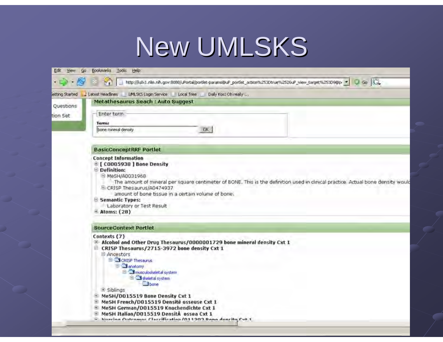# New UMLSKS

| $\rightarrow$ $\rightarrow$ $\rightarrow$ | http://listict.nlm.nh.gov:8080/uPortal/portlet-params@uP_portlet_action%253Dtrue%2526uP_view_target%253D9@p *<br>$\circ$ Go $ G_r$<br>M.                                                                                                                                                                                                                          |  |  |  |  |
|-------------------------------------------|-------------------------------------------------------------------------------------------------------------------------------------------------------------------------------------------------------------------------------------------------------------------------------------------------------------------------------------------------------------------|--|--|--|--|
|                                           | letting Started Latest Headlines<br>Local Tree<br>Daily Kost Oh really                                                                                                                                                                                                                                                                                            |  |  |  |  |
| Questions                                 | <b>Metathesaurus Seach : Auto Suggest</b>                                                                                                                                                                                                                                                                                                                         |  |  |  |  |
| tion Set                                  | Enter term                                                                                                                                                                                                                                                                                                                                                        |  |  |  |  |
|                                           | Termi                                                                                                                                                                                                                                                                                                                                                             |  |  |  |  |
|                                           | DK.<br>bane mineral density                                                                                                                                                                                                                                                                                                                                       |  |  |  |  |
|                                           | <b>BasicConceptRRF Portlet</b>                                                                                                                                                                                                                                                                                                                                    |  |  |  |  |
|                                           | <b>E [ COOOS938 ] Bone Density</b><br>Definition:<br>B MeSH/A0031968<br>The amount of mineral per square centimeter of BONE. This is the definition used in clinical practice. Actual bone density would<br>E CRISP Thesaurus/A0474937<br>amount of bone tissue in a certain volume of bone.<br>Semantic Types:<br>Laboratory or Test Result<br>$\pm$ Atoms: (28) |  |  |  |  |
|                                           | <b>SourceContext Portlet</b>                                                                                                                                                                                                                                                                                                                                      |  |  |  |  |
|                                           | Contexts (7)<br>E-Alcohol and Other Drug Thesaurus/0000001729 bone mineral density Cxt 1<br>E CRISP Thesaurus/2715-3972 bone density Cxt 1<br>B Ancestors<br>S CRISP Thesaurus<br><b>El Sanatomy</b><br>El Minusculoskeletal system<br>Sigheletal system<br>bone                                                                                                  |  |  |  |  |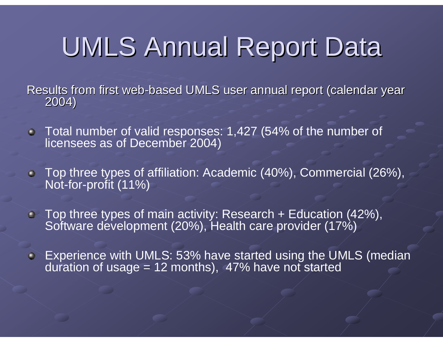# UMLS Annual Report Data

Results from first web sults from first web-based UMLS user annual report (calendar year<br>2004)

- Total number of valid responses: 1,427 (54% of the number of licensees as of December 2004)
- Top three types of affiliation: Academic (40%), Commercial (26%), Not-for-profit (11%)
- Top three types of main activity: Research + Education (42%), Software development (20%), Health care provider (17%)
- **Experience with UMLS: 53% have started using the UMLS (median** duration of usage =  $12$  months), 47% have not started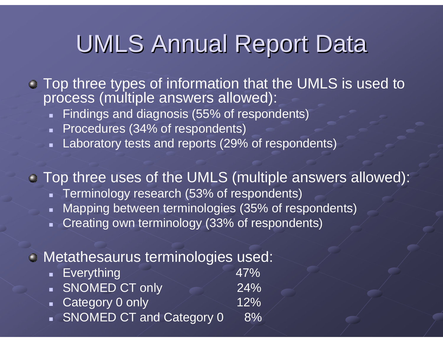### **UMLS Annual Report Data**

- Top three types of information that the UMLS is used to process (multiple answers allowed):
	- **Findings and diagnosis (55% of respondents)**
	- Procedures (34% of respondents)
	- Laboratory tests and reports (29% of respondents)

Top three uses of the UMLS (multiple answers allowed):

- Terminology research (53% of respondents)
- $\blacksquare$ Mapping between terminologies (35% of respondents)
- Creating own terminology (33% of respondents)

#### **Metathesaurus terminologies used:**

| <b>Everything</b>          | 47%        |
|----------------------------|------------|
| SNOMED CT only             | <b>24%</b> |
| • Category 0 only          | 12%        |
| • SNOMED CT and Category 0 | 8%         |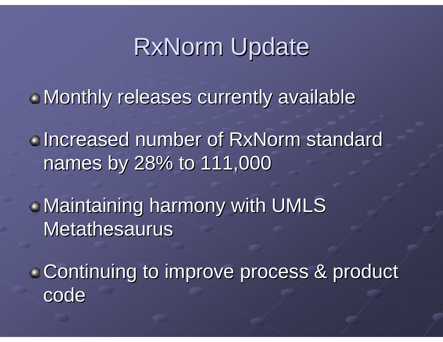### **RxNorm Update**

 $\blacksquare$  Monthly releases currently available

Increased number of RxNorm standard Increased number of RxNorm standard names by 28% to 111,000 names by 28% to 111,000

 $\blacksquare$  Maintaining harmony with UMLS Metathesaurus

**Continuing to improve process & product code**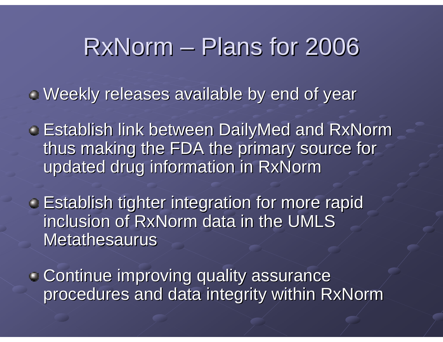### RxNorm – Plans for 2006

 $\blacksquare$  Weekly releases available by end of year

- **Establish link between DailyMed and RxNorm** thus making the FDA the primary source for updated drug information in RxNorm updated drug information in RxNorm
- **Establish tighter integration for more rapid** inclusion of RxNorm data in the UMLS Metathesaurus
- **Continue improving quality assurance** procedures and data integrity within RxNorm procedures and data integrity within RxNorm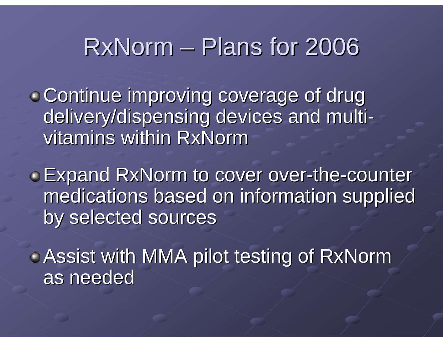### $RxNorm - Plans$  for 2006

**Continue improving coverage of drug** delivery/dispensing devices and multivitamins within RxNorm

**Expand RxNorm to cover over-the-counter** medications based on information supplied by selected sources

**Assist with MMA pilot testing of RxNorm** as needed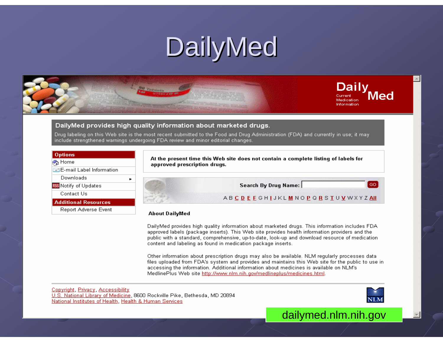# DailyMed



#### DailyMed provides high quality information about marketed drugs.

Drug labeling on this Web site is the most recent submitted to the Food and Drug Administration (FDA) and currently in use; it may include strengthened warnings undergoing FDA review and minor editorial changes.

| <b>Options</b>                     |  |
|------------------------------------|--|
| <b>P</b> Home                      |  |
| <b>F-1E-mail Label Information</b> |  |
| Downloads                          |  |
| RSS Notify of Updates              |  |
| Contact Us                         |  |
| <b>Additional Resources</b>        |  |
| Report Adverse Event               |  |

At the present time this Web site does not contain a complete listing of labels for approved prescription drugs.

Search By Drug Name:

ABCDEEGHIJKLMNOPQRSTUVWXYZAII

#### **About DailyMed**

DailyMed provides high quality information about marketed drugs. This information includes FDA approved labels (package inserts). This Web site provides health information providers and the public with a standard, comprehensive, up-to-date, look-up and download resource of medication content and labeling as found in medication package inserts.

Other information about prescription drugs may also be available. NLM regularly processes data files uploaded from FDA's system and provides and maintains this Web site for the public to use in accessing the information. Additional information about medicines is available on NLM's MedlinePlus Web site http://www.nlm.nih.gov/medlineplus/medicines.html.

Copyright, Privacy, Accessibility U.S. National Library of Medicine, 8600 Rockville Pike, Bethesda, MD 20894 National Institutes of Health, Health & Human Services



GO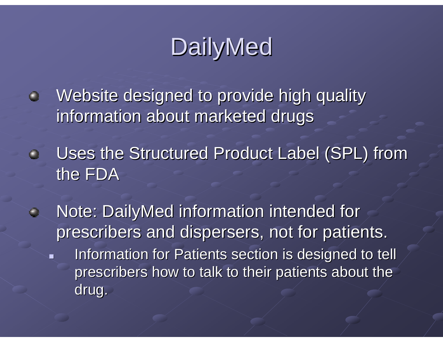### DailyMed

- Website designed to provide high quality  $\bullet$ information about marketed drugs
- Uses the Structured Product Label (SPL) from the FDA
- Note: DailyMed information intended for  $\mathbf \Theta$ prescribers and dispersers, not for patients.
	- $\blacksquare$ Information for Patients section is designed to tell prescribers how to talk to their patients about the drug.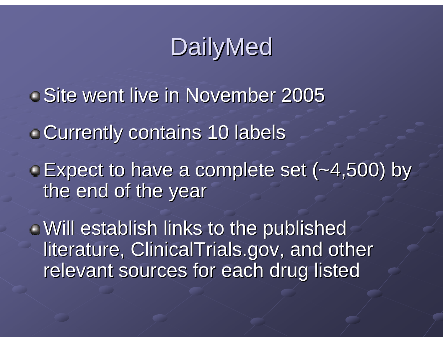### DailyMed

- **Site went live in November 2005**
- **Currently contains 10 labels**
- Expect to have a complete set (~4,500) by Expect to have a complete set (~4,500) by the end of the year

Will establish links to the published Will establish links to the published literature, ClinicalTrials.gov, and other relevant sources for each drug listed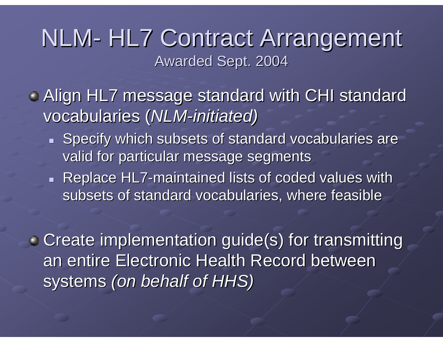### NLM- HL7 Contract Arrangement Awarded Sept. 2004

- Align HL7 message standard with CHI standard vocabularies ( vocabularies (*NLM-initiated) initiated)*
	- Specify which subsets of standard vocabularies are Specify which subsets of standard vocabularies are valid for particular message segments
	- Replace HL7-maintained lists of coded values with subsets of standard vocabularies, where feasible

**Create implementation guide(s) for transmitting Create implementation guide(s) for transmitting** an entire Electronic Health Record between systems (on behalf of HHS)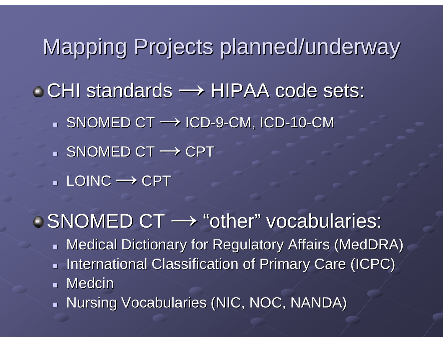- Mapping Projects planned/underway CHI standards → HIPAA code sets: ▪ SNOMED CT → ICD-9-CM, ICD-10-CM ▪ SNOMED CT → CPT
	- LOINC **→** CPT
- SNOMED CT  $\longrightarrow$  "other" vocabularies:
	- $\blacksquare$  Medical Dictionary for Regulatory Affairs (MedDRA)
	- **International Classification of Primary Care (ICPC)**
	- Medcin
	- Nursing Vocabularies (NIC, NOC, NANDA)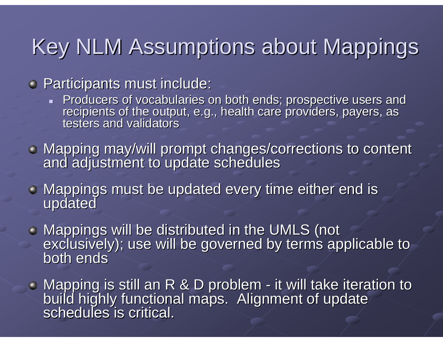### Key NLM Assumptions about Mappings

**• Participants must include:** 

- Producers of vocabularies on both ends; prospective users and recipients of the output, e.g., health care providers, payers, as testers and validators
- Mapping may/will prompt changes/corrections to content and adjustment to update schedules
- Mappings must be updated every time either end is updated
- Mappings will be distributed in the UMLS (not Mappings will be distributed in the UMLS (not exclusively); use will be governed by terms applicable to both ends
- Mapping is still an R & D problem  $\blacksquare$ - it will take iteration to build highly functional maps. Alignment of update schedules is critical.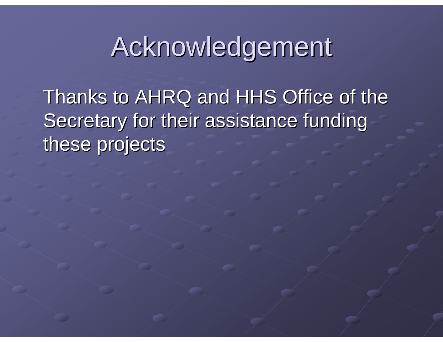## Acknowledgement

Thanks to AHRQ and HHS Office of the Secretary for their assistance funding these projects